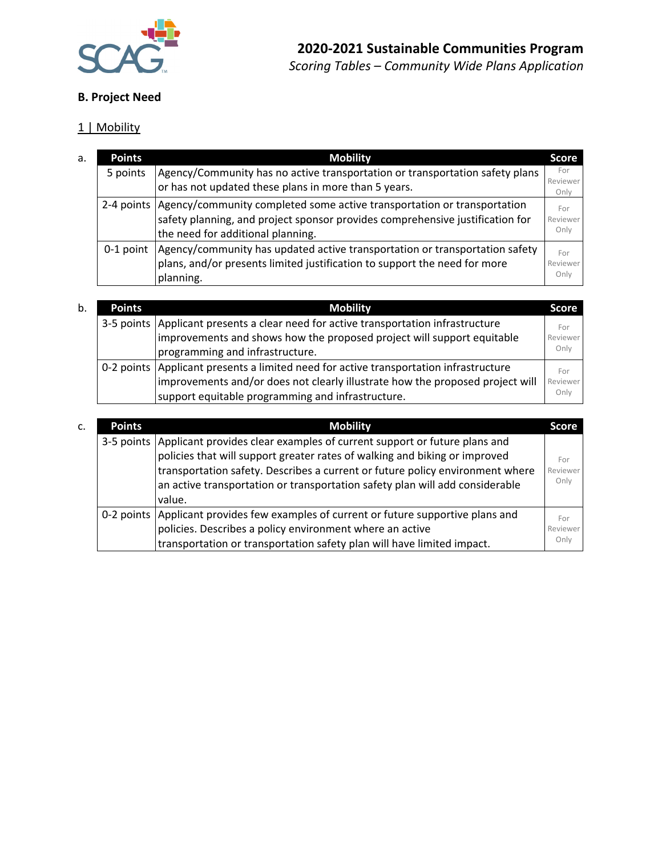

### **B. Project Need**

## 1 | Mobility

| <b>Points</b> | <b>Mobility</b>                                                                                                                                                                                            | <b>Score</b>            |
|---------------|------------------------------------------------------------------------------------------------------------------------------------------------------------------------------------------------------------|-------------------------|
| 5 points      | Agency/Community has no active transportation or transportation safety plans<br>or has not updated these plans in more than 5 years.                                                                       | For<br>Reviewer<br>Only |
|               | 2-4 points   Agency/community completed some active transportation or transportation<br>safety planning, and project sponsor provides comprehensive justification for<br>the need for additional planning. | For<br>Reviewer<br>Only |
|               | 0-1 point   Agency/community has updated active transportation or transportation safety<br>plans, and/or presents limited justification to support the need for more<br>planning.                          | For<br>Reviewer<br>Only |

| b. | <b>Points</b> | <b>Mobility</b>                                                                         | Score    |
|----|---------------|-----------------------------------------------------------------------------------------|----------|
|    |               | 3-5 points   Applicant presents a clear need for active transportation infrastructure   | For      |
|    |               | improvements and shows how the proposed project will support equitable                  | Reviewer |
|    |               | programming and infrastructure.                                                         | Only     |
|    |               | 0-2 points   Applicant presents a limited need for active transportation infrastructure | For      |
|    |               | improvements and/or does not clearly illustrate how the proposed project will           | Reviewer |
|    |               | support equitable programming and infrastructure.                                       | Only     |

| c. | <b>Points</b> | <b>Mobility</b>                                                                                                                                                                                                                                                                                                                                | Score                   |
|----|---------------|------------------------------------------------------------------------------------------------------------------------------------------------------------------------------------------------------------------------------------------------------------------------------------------------------------------------------------------------|-------------------------|
|    |               | 3-5 points   Applicant provides clear examples of current support or future plans and<br>policies that will support greater rates of walking and biking or improved<br>transportation safety. Describes a current or future policy environment where<br>an active transportation or transportation safety plan will add considerable<br>value. | For<br>Reviewer<br>Only |
|    |               | 0-2 points Applicant provides few examples of current or future supportive plans and<br>policies. Describes a policy environment where an active<br>transportation or transportation safety plan will have limited impact.                                                                                                                     | For<br>Reviewer<br>Only |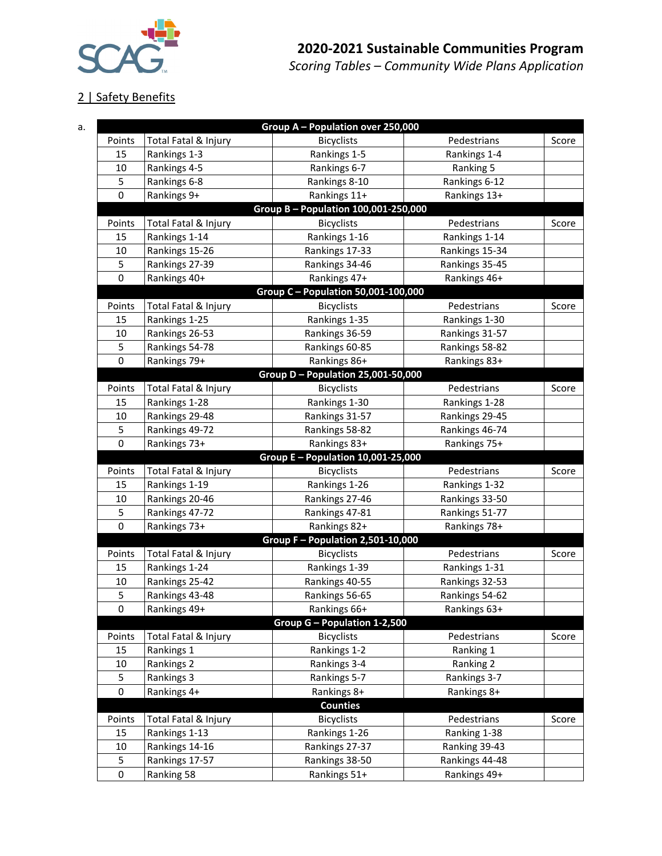

2 | Safety Benefits

a. **Group A – Population over 250,000** Points Total Fatal & Injury The Bicyclists Convention Pedestrians Score 15 Rankings 1‐3 Rankings 1‐5 Rankings 1‐4 10 Rankings 4-5 Rankings 6-7 Ranking 5 5 Rankings 6-8 Rankings 8-10 Rankings 6-12 0 Rankings 9+ Rankings 11+ Rankings 13+ **Group B – Population 100,001‐250,000** Points Total Fatal & Injury The Bicyclists Convention Pedestrians Score 15 | Rankings 1-14 | Rankings 1-16 | Rankings 1-14 10 | Rankings 15‐26 | Rankings 17‐33 | Rankings 15‐34 5 Rankings 27‐39 Rankings 34‐46 Rankings 35‐45 0 Rankings 40+ <br>Rankings 40+ Rankings 47+ Rankings 46+ **Group C – Population 50,001‐100,000** Points Total Fatal & Injury | Bicyclists | Pedestrians | Score 15 Rankings 1-25 Rankings 1-35 Rankings 1-30 10 Rankings 26‐53 Rankings 36‐59 Rankings 31‐57 5 Rankings 54-78 | Rankings 60-85 | Rankings 58-82 0 Rankings 79+ Rankings 86+ Rankings 83+ **Group D – Population 25,001‐50,000** Points Total Fatal & Injury The Bicyclists Convention Pedestrians Score 15 | Rankings 1-28 | Rankings 1-30 | Rankings 1-28 10 | Rankings 29-48 | Rankings 31-57 | Rankings 29-45 5 Rankings 49‐72 Rankings 58‐82 Rankings 46‐74 0 Rankings 73+ 1 Rankings 83+ Rankings 75+ **Group E – Population 10,001‐25,000** Points Total Fatal & Injury | Bicyclists | Pedestrians | Score 15 Rankings 1‐19 Rankings 1‐26 Rankings 1‐32 10 | Rankings 20-46 | Rankings 27-46 | Rankings 33-50 5 Rankings 47‐72 Rankings 47‐81 Rankings 51‐77 0 Rankings 73+ Rankings 82+ Rankings 78+ **Group F – Population 2,501‐10,000** Points Total Fatal & Injury The Bicyclists Convention Pedestrians Score 15 Rankings 1‐24 Rankings 1‐39 Rankings 1‐31 10 | Rankings 25-42 | Rankings 40-55 | Rankings 32-53 5 Rankings 43‐48 Rankings 56‐65 Rankings 54‐62 0 Rankings 49+ 1 Rankings 66+ Rankings 63+ **Group G – Population 1‐2,500** Points Total Fatal & Injury | Bicyclists | Pedestrians | Score 15 Rankings 1 Rankings 1 Ranking 1 Ranking 1 10 Rankings 2 Rankings 3-4 Ranking 2 5 Rankings 3 Rankings 5-7 Rankings 3-7 0 Rankings 4+ Rankings 8+ Rankings 8+ Rankings 8+ **Counties** Points | Total Fatal & Injury | Bicyclists | Pedestrians | Score 15 Rankings 1-13 Rankings 1-26 Ranking 1-38 10 | Rankings 14-16 **Rankings 27-37** Ranking 39-43 5 Rankings 17‐57 Rankings 38‐50 Rankings 44‐48 0 | Ranking 58 | Rankings 51+ | Rankings 49+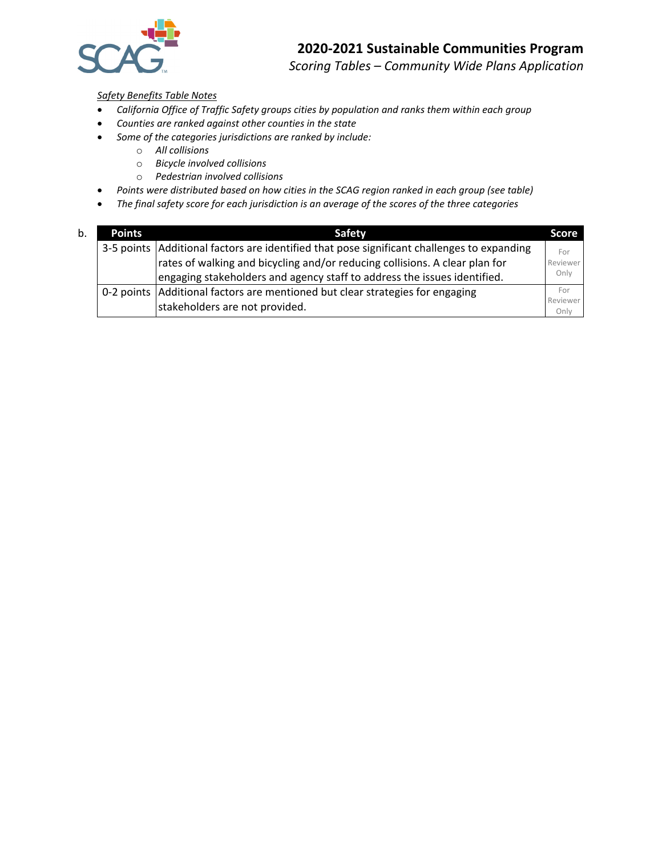

*Scoring Tables – Community Wide Plans Application*

#### *Safety Benefits Table Notes*

- *California Office of Traffic Safety groups cities by population and ranks them within each group*
- *Counties are ranked against other counties in the state*
- *Some of the categories jurisdictions are ranked by include:*
	- o *All collisions*
	- o *Bicycle involved collisions*
	- o *Pedestrian involved collisions*
- *Points were distributed based on how cities in the SCAG region ranked in each group (see table)*
- *The final safety score for each jurisdiction is an average of the scores of the three categories*

| b. | <b>Points</b> | <b>Safety</b>                                                                                | <b>Score</b>     |
|----|---------------|----------------------------------------------------------------------------------------------|------------------|
|    |               | 3-5 points   Additional factors are identified that pose significant challenges to expanding | For              |
|    |               | rates of walking and bicycling and/or reducing collisions. A clear plan for                  | Reviewer         |
|    |               | engaging stakeholders and agency staff to address the issues identified.                     | Only             |
|    |               | 0-2 points Additional factors are mentioned but clear strategies for engaging                | For              |
|    |               | stakeholders are not provided.                                                               | Reviewer<br>Only |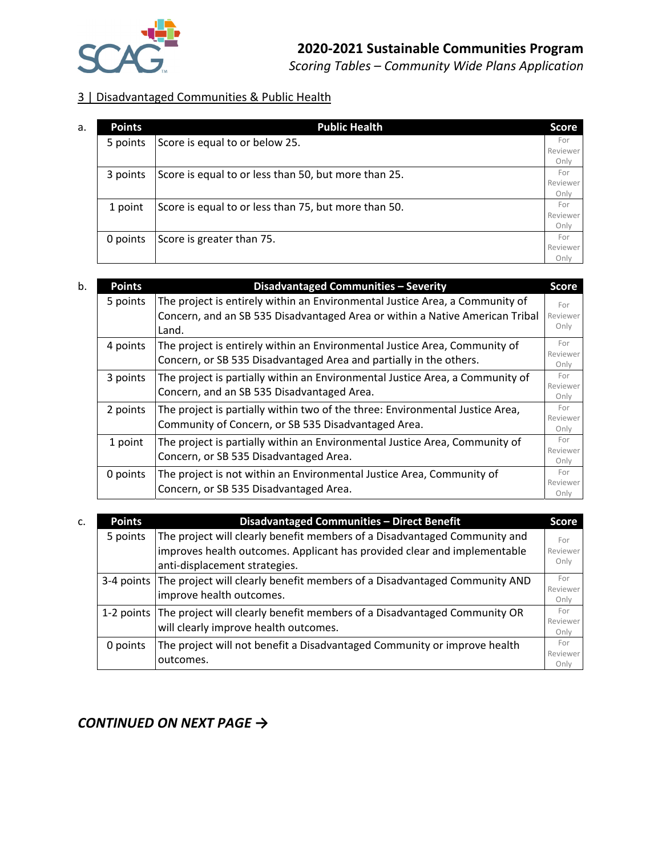

*Scoring Tables – Community Wide Plans Application*

#### 3 | Disadvantaged Communities & Public Health

| a. | <b>Points</b> | <b>Public Health</b>                                 | <b>Score</b>     |
|----|---------------|------------------------------------------------------|------------------|
|    | 5 points      | Score is equal to or below 25.                       | For              |
|    |               |                                                      | Reviewer<br>Only |
|    | 3 points      | Score is equal to or less than 50, but more than 25. | For              |
|    |               |                                                      | Reviewer         |
|    |               | Score is equal to or less than 75, but more than 50. | Only<br>For      |
|    | 1 point       |                                                      | Reviewer         |
|    |               |                                                      | Only             |
|    | 0 points      | Score is greater than 75.                            | For              |
|    |               |                                                      | Reviewer         |
|    |               |                                                      | Onlv             |

| b. | <b>Points</b> | <b>Disadvantaged Communities - Severity</b>                                   | <b>Score</b>     |
|----|---------------|-------------------------------------------------------------------------------|------------------|
|    | 5 points      | The project is entirely within an Environmental Justice Area, a Community of  | For              |
|    |               | Concern, and an SB 535 Disadvantaged Area or within a Native American Tribal  | Reviewer         |
|    |               | Land.                                                                         | Only             |
|    | 4 points      | The project is entirely within an Environmental Justice Area, Community of    | For              |
|    |               | Concern, or SB 535 Disadvantaged Area and partially in the others.            | Reviewer<br>Only |
|    | 3 points      | The project is partially within an Environmental Justice Area, a Community of | For              |
|    |               | Concern, and an SB 535 Disadvantaged Area.                                    | Reviewer<br>Only |
|    | 2 points      | The project is partially within two of the three: Environmental Justice Area, | For              |
|    |               | Community of Concern, or SB 535 Disadvantaged Area.                           | Reviewer<br>Only |
|    | 1 point       | The project is partially within an Environmental Justice Area, Community of   | For              |
|    |               | Concern, or SB 535 Disadvantaged Area.                                        | Reviewer         |
|    |               |                                                                               | Only<br>For      |
|    | 0 points      | The project is not within an Environmental Justice Area, Community of         | Reviewer         |
|    |               | Concern, or SB 535 Disadvantaged Area.                                        | Only             |

| C. | <b>Points</b> | Disadvantaged Communities - Direct Benefit                                           | <b>Score</b>     |
|----|---------------|--------------------------------------------------------------------------------------|------------------|
|    | 5 points      | The project will clearly benefit members of a Disadvantaged Community and            | For              |
|    |               | improves health outcomes. Applicant has provided clear and implementable             | Reviewer         |
|    |               | anti-displacement strategies.                                                        | Only             |
|    |               | 3-4 points The project will clearly benefit members of a Disadvantaged Community AND | For              |
|    |               | improve health outcomes.                                                             | Reviewer<br>Only |
|    |               | 1-2 points The project will clearly benefit members of a Disadvantaged Community OR  | For              |
|    |               | will clearly improve health outcomes.                                                | Reviewer<br>Only |
|    | 0 points      | The project will not benefit a Disadvantaged Community or improve health             | For              |
|    |               | outcomes.                                                                            | Reviewer         |
|    |               |                                                                                      | Onlv             |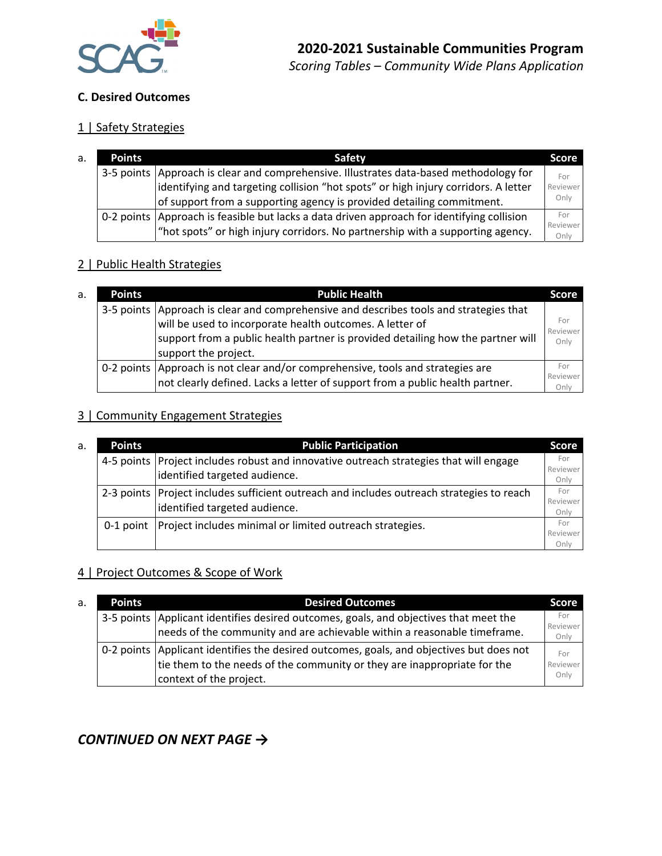

#### **C. Desired Outcomes**

### 1 | Safety Strategies

| а. | <b>Points</b> | Safety                                                                                       | <b>Score</b>     |
|----|---------------|----------------------------------------------------------------------------------------------|------------------|
|    |               | 3-5 points   Approach is clear and comprehensive. Illustrates data-based methodology for     | For              |
|    |               | identifying and targeting collision "hot spots" or high injury corridors. A letter           | Reviewer         |
|    |               | of support from a supporting agency is provided detailing commitment.                        | Only             |
|    |               | 0-2 points   Approach is feasible but lacks a data driven approach for identifying collision | For              |
|    |               | "hot spots" or high injury corridors. No partnership with a supporting agency.               | Reviewer<br>Only |

#### 2 | Public Health Strategies

| a. | <b>Points</b> | <b>Public Health</b>                                                                                                                                            | 'Score                  |
|----|---------------|-----------------------------------------------------------------------------------------------------------------------------------------------------------------|-------------------------|
|    |               | 3-5 points Approach is clear and comprehensive and describes tools and strategies that<br>will be used to incorporate health outcomes. A letter of              | For<br>Reviewer         |
|    |               | support from a public health partner is provided detailing how the partner will<br>support the project.                                                         | Only                    |
|    |               | 0-2 points Approach is not clear and/or comprehensive, tools and strategies are<br>not clearly defined. Lacks a letter of support from a public health partner. | For<br>Reviewer<br>Onlv |

#### 3 | Community Engagement Strategies

| а. | <b>Points</b> | <b>Public Participation</b>                                                                 | <b>Score</b>     |
|----|---------------|---------------------------------------------------------------------------------------------|------------------|
|    |               | 4-5 points Project includes robust and innovative outreach strategies that will engage      | For<br>Reviewer  |
|    |               | identified targeted audience.                                                               | Only             |
|    |               | 2-3 points   Project includes sufficient outreach and includes outreach strategies to reach | For              |
|    |               | identified targeted audience.                                                               | Reviewer<br>Only |
|    |               | 0-1 point   Project includes minimal or limited outreach strategies.                        | For              |
|    |               |                                                                                             | Reviewer         |
|    |               |                                                                                             | Onlv             |

### 4 | Project Outcomes & Scope of Work

| a. | <b>Points</b> | <b>Desired Outcomes</b>                                                                    | <b>Score</b>     |
|----|---------------|--------------------------------------------------------------------------------------------|------------------|
|    |               | 3-5 points   Applicant identifies desired outcomes, goals, and objectives that meet the    | For              |
|    |               | needs of the community and are achievable within a reasonable timeframe.                   | Reviewer<br>Only |
|    |               | 0-2 points   Applicant identifies the desired outcomes, goals, and objectives but does not | For              |
|    |               | tie them to the needs of the community or they are inappropriate for the                   | Reviewer         |
|    |               | context of the project.                                                                    | Only             |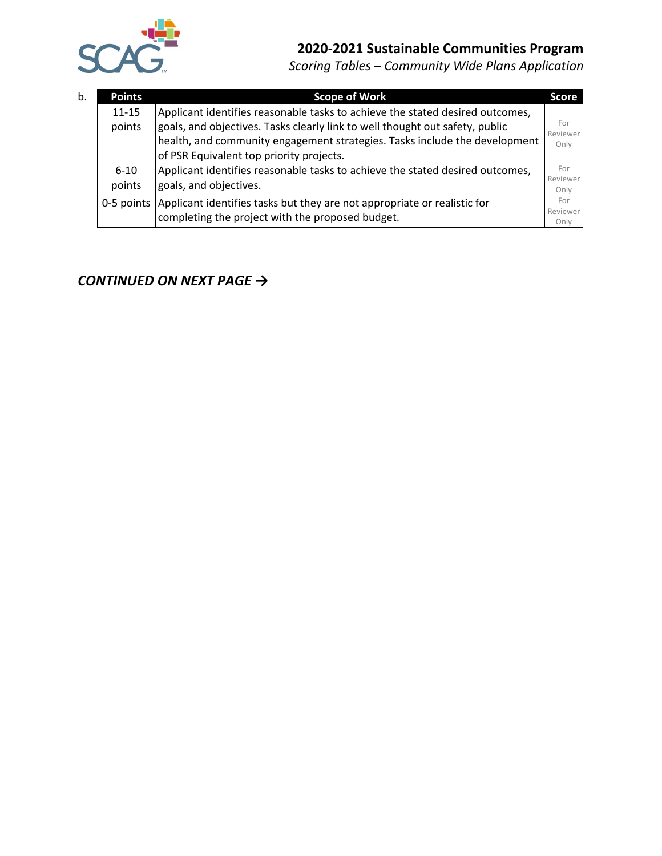

*Scoring Tables – Community Wide Plans Application*

| b. | <b>Points</b> | <b>Scope of Work</b>                                                                | <b>Score</b>     |
|----|---------------|-------------------------------------------------------------------------------------|------------------|
|    | $11 - 15$     | Applicant identifies reasonable tasks to achieve the stated desired outcomes,       |                  |
|    | points        | goals, and objectives. Tasks clearly link to well thought out safety, public        | For<br>Reviewer  |
|    |               | health, and community engagement strategies. Tasks include the development          | Only             |
|    |               | of PSR Equivalent top priority projects.                                            |                  |
|    | $6 - 10$      | Applicant identifies reasonable tasks to achieve the stated desired outcomes,       | For              |
|    | points        | goals, and objectives.                                                              | Reviewer<br>Only |
|    |               | 0-5 points Applicant identifies tasks but they are not appropriate or realistic for | For              |
|    |               | completing the project with the proposed budget.                                    | Reviewer<br>Only |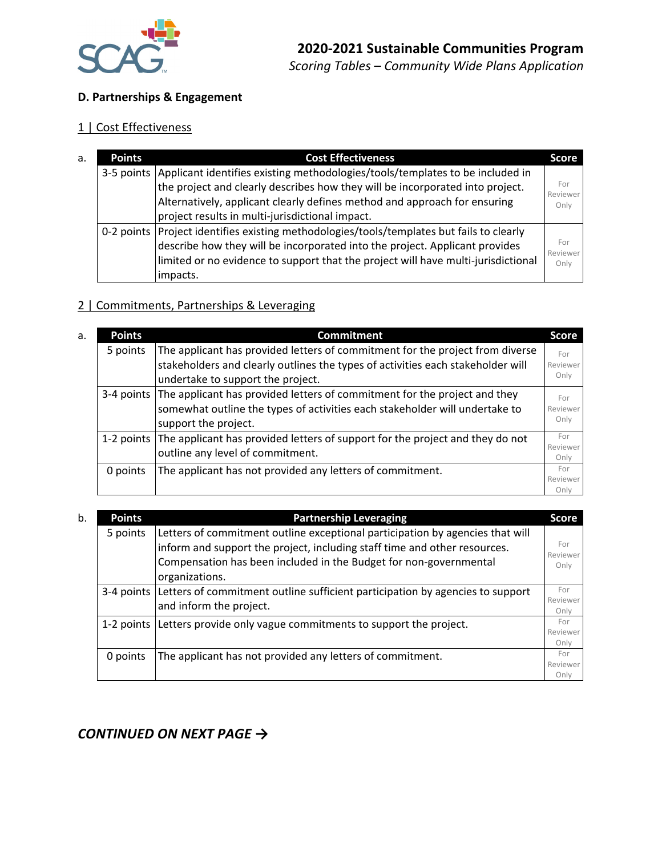

#### **D. Partnerships & Engagement**

### 1 | Cost Effectiveness

| a. | <b>Points</b> | <b>Cost Effectiveness</b>                                                                  | Score           |  |
|----|---------------|--------------------------------------------------------------------------------------------|-----------------|--|
|    |               | 3-5 points   Applicant identifies existing methodologies/tools/templates to be included in | For<br>Reviewer |  |
|    |               | the project and clearly describes how they will be incorporated into project.              |                 |  |
|    |               | Alternatively, applicant clearly defines method and approach for ensuring                  | Only            |  |
|    |               | project results in multi-jurisdictional impact.                                            |                 |  |
|    |               | 0-2 points Project identifies existing methodologies/tools/templates but fails to clearly  |                 |  |
|    |               | describe how they will be incorporated into the project. Applicant provides                | For<br>Reviewer |  |
|    |               | limited or no evidence to support that the project will have multi-jurisdictional          | Only            |  |
|    |               | impacts.                                                                                   |                 |  |

### 2 | Commitments, Partnerships & Leveraging

| <b>Points</b><br>a. |          | <b>Commitment</b>                                                                        |                  |
|---------------------|----------|------------------------------------------------------------------------------------------|------------------|
|                     | 5 points | The applicant has provided letters of commitment for the project from diverse            | For              |
|                     |          | stakeholders and clearly outlines the types of activities each stakeholder will          | Reviewer         |
|                     |          | undertake to support the project.                                                        | Only             |
|                     |          | 3-4 points The applicant has provided letters of commitment for the project and they     | For              |
|                     |          | somewhat outline the types of activities each stakeholder will undertake to              | Reviewer         |
|                     |          | support the project.                                                                     | Only             |
|                     |          | 1-2 points The applicant has provided letters of support for the project and they do not | For              |
|                     |          | outline any level of commitment.                                                         | Reviewer<br>Only |
|                     | 0 points | The applicant has not provided any letters of commitment.                                | For              |
|                     |          |                                                                                          | Reviewer         |
|                     |          |                                                                                          | Onlv             |

| b. | <b>Points</b> | <b>Partnership Leveraging</b>                                                                                                                                                                                                                     |                         |
|----|---------------|---------------------------------------------------------------------------------------------------------------------------------------------------------------------------------------------------------------------------------------------------|-------------------------|
|    | 5 points      | Letters of commitment outline exceptional participation by agencies that will<br>inform and support the project, including staff time and other resources.<br>Compensation has been included in the Budget for non-governmental<br>organizations. | For<br>Reviewer<br>Only |
|    |               | 3-4 points Letters of commitment outline sufficient participation by agencies to support<br>and inform the project.                                                                                                                               | For<br>Reviewer<br>Only |
|    |               | 1-2 points Letters provide only vague commitments to support the project.                                                                                                                                                                         | For<br>Reviewer<br>Only |
|    | 0 points      | The applicant has not provided any letters of commitment.                                                                                                                                                                                         | For<br>Reviewer<br>Only |